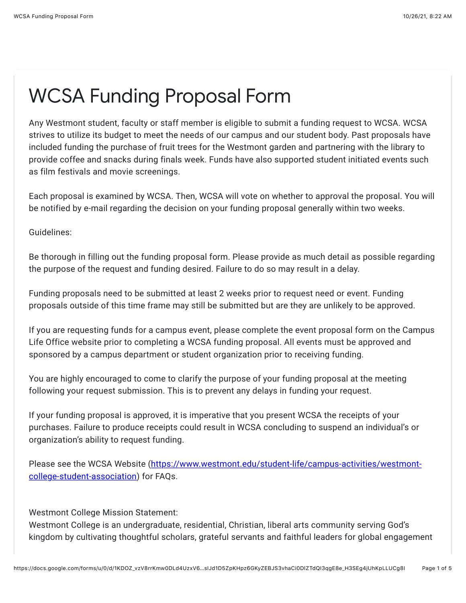## WCSA Funding Proposal Form

Any Westmont student, faculty or staff member is eligible to submit a funding request to WCSA. WCSA strives to utilize its budget to meet the needs of our campus and our student body. Past proposals have included funding the purchase of fruit trees for the Westmont garden and partnering with the library to provide coffee and snacks during finals week. Funds have also supported student initiated events such as film festivals and movie screenings.

Each proposal is examined by WCSA. Then, WCSA will vote on whether to approval the proposal. You will be notified by e-mail regarding the decision on your funding proposal generally within two weeks.

Guidelines:

Be thorough in filling out the funding proposal form. Please provide as much detail as possible regarding the purpose of the request and funding desired. Failure to do so may result in a delay.

Funding proposals need to be submitted at least 2 weeks prior to request need or event. Funding proposals outside of this time frame may still be submitted but are they are unlikely to be approved.

If you are requesting funds for a campus event, please complete the event proposal form on the Campus Life Office website prior to completing a WCSA funding proposal. All events must be approved and sponsored by a campus department or student organization prior to receiving funding.

You are highly encouraged to come to clarify the purpose of your funding proposal at the meeting following your request submission. This is to prevent any delays in funding your request.

If your funding proposal is approved, it is imperative that you present WCSA the receipts of your purchases. Failure to produce receipts could result in WCSA concluding to suspend an individual's or organization's ability to request funding.

[Please see the WCSA Website \(https://www.westmont.edu/student-life/campus-activities/westmont](https://www.google.com/url?q=https://www.westmont.edu/student-life/campus-activities/westmont-college-student-association&sa=D&source=editors&ust=1635265368759000&usg=AOvVaw1DOs6LBYQQh4kexzKNm3Ax)college-student-association) for FAQs.

Westmont College Mission Statement:

Westmont College is an undergraduate, residential, Christian, liberal arts community serving God's kingdom by cultivating thoughtful scholars, grateful servants and faithful leaders for global engagement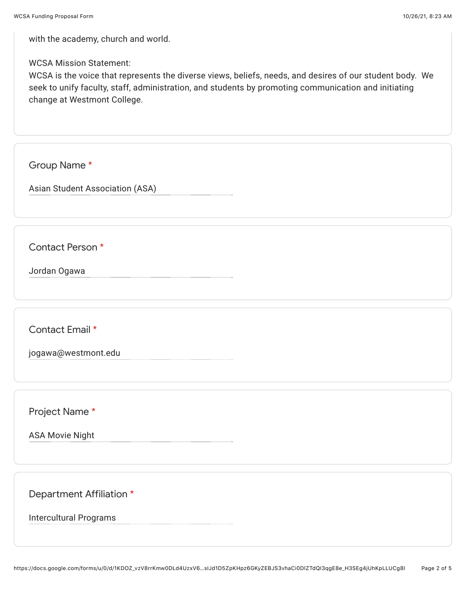with the academy, church and world.

## WCSA Mission Statement:

WCSA is the voice that represents the diverse views, beliefs, needs, and desires of our student body. We seek to unify faculty, staff, administration, and students by promoting communication and initiating change at Westmont College.

Group Name \*

Asian Student Association (ASA)

Contact Person \*

Jordan Ogawa

Contact Email \*

jogawa@westmont.edu

Project Name \*

ASA Movie Night

Department Affiliation \*

Intercultural Programs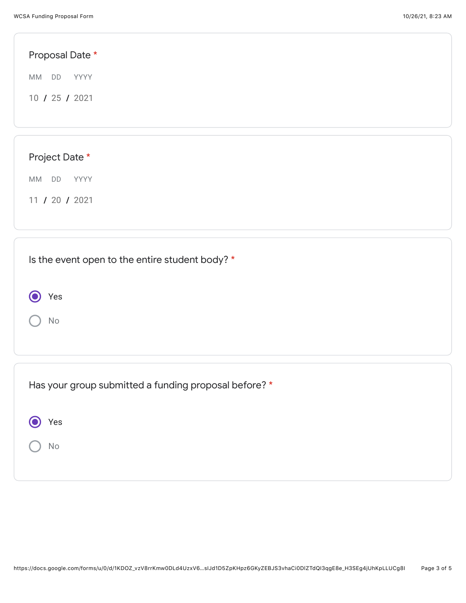Yes

 $\bigodot$ 

No

| Proposal Date *                                 |  |  |
|-------------------------------------------------|--|--|
| MM DD YYYY                                      |  |  |
| 10 / 25 / 2021                                  |  |  |
|                                                 |  |  |
|                                                 |  |  |
| Project Date *                                  |  |  |
| MM DD<br>YYYY                                   |  |  |
| 11 / 20 / 2021                                  |  |  |
|                                                 |  |  |
|                                                 |  |  |
| Is the event open to the entire student body? * |  |  |

| Has your group submitted a funding proposal before? * |  |
|-------------------------------------------------------|--|
| Yes                                                   |  |
| No                                                    |  |
|                                                       |  |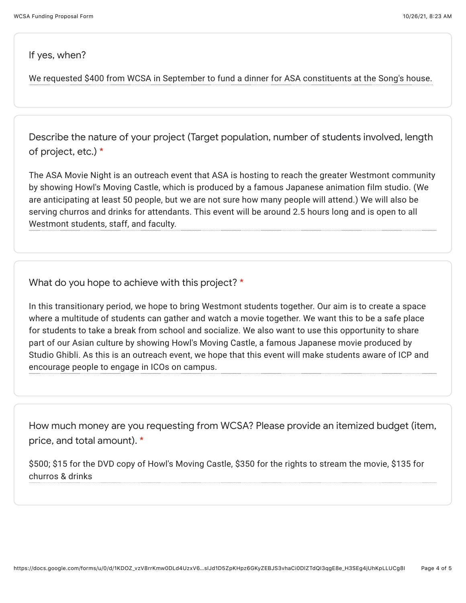If yes, when?

We requested \$400 from WCSA in September to fund a dinner for ASA constituents at the Song's house.

Describe the nature of your project (Target population, number of students involved, length of project, etc.) \*

The ASA Movie Night is an outreach event that ASA is hosting to reach the greater Westmont community by showing Howl's Moving Castle, which is produced by a famous Japanese animation film studio. (We are anticipating at least 50 people, but we are not sure how many people will attend.) We will also be serving churros and drinks for attendants. This event will be around 2.5 hours long and is open to all Westmont students, staff, and faculty.

What do you hope to achieve with this project? \*

In this transitionary period, we hope to bring Westmont students together. Our aim is to create a space where a multitude of students can gather and watch a movie together. We want this to be a safe place for students to take a break from school and socialize. We also want to use this opportunity to share part of our Asian culture by showing Howl's Moving Castle, a famous Japanese movie produced by Studio Ghibli. As this is an outreach event, we hope that this event will make students aware of ICP and encourage people to engage in ICOs on campus.

How much money are you requesting from WCSA? Please provide an itemized budget (item, price, and total amount). \*

\$500; \$15 for the DVD copy of Howl's Moving Castle, \$350 for the rights to stream the movie, \$135 for churros & drinks